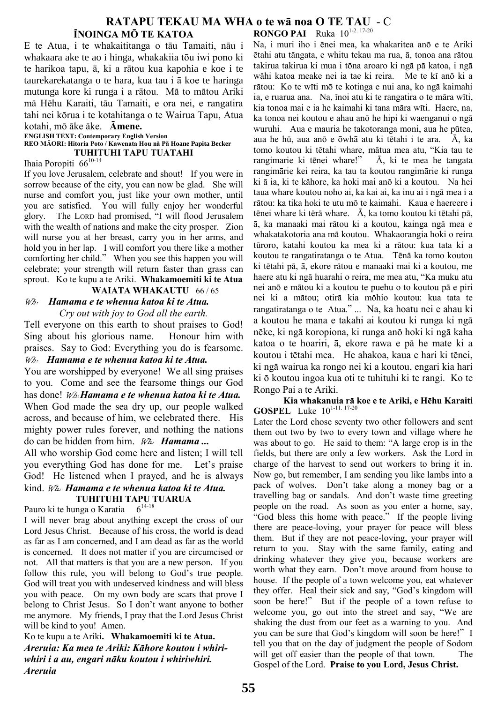#### RATAPU TEKAU MA WHA o te w**ā noa** O TE TAU - C ÏNOINGA MÖ TE KATOA **RONGO PAI** Ruka  $10^{1-2.17-20}$

E te Atua, i te whakaititanga o tāu Tamaiti, nāu i whakaara ake te ao i hinga, whakakiia tōu iwi pono ki te harikoa tapu, ā, ki a rātou kua kapohia e koe i te taurekarekatanga o te hara, kua tau i ā koe te haringa mutunga kore ki runga i a rātou. Mä to mätou Ariki mä Hëhu Karaiti, täu Tamaiti, e ora nei, e rangatira tahi nei körua i te kotahitanga o te Wairua Tapu, Atua kotahi, mö äke äke. Ämene.

REO M**ĀORI: Hitoria Poto / Kawenata Hou nā Pā Hoane Papita Becker** TUHITUHI TAPU TUATAHI

Ihaia Poropiti 66<sup>10-14</sup>

If you love Jerusalem, celebrate and shout! If you were in sorrow because of the city, you can now be glad. She will nurse and comfort you, just like your own mother, until you are satisfied. You will fully enjoy her wonderful glory. The LORD had promised, "I will flood Jerusalem with the wealth of nations and make the city prosper. Zion will nurse you at her breast, carry you in her arms, and hold you in her lap. I will comfort you there like a mother comforting her child." When you see this happen you will celebrate; your strength will return faster than grass can sprout. Ko te kupu a te Ariki. Whakamoemiti ki te Atua

# WAIATA WHAKAUTU 66/65

#### Wh: Hamama e te whenua katoa ki te Atua. Cry out with joy to God all the earth.

Tell everyone on this earth to shout praises to God! Sing about his glorious name. Honour him with praises. Say to God: Everything you do is fearsome.

### Wh: Hamama e te whenua katoa ki te Atua.

You are worshipped by everyone! We all sing praises to you. Come and see the fearsome things our God has done! W<sub>2</sub>. Hamama e te whenua katoa ki te Atua. When God made the sea dry up, our people walked across, and because of him, we celebrated there. His mighty power rules forever, and nothing the nations do can be hidden from him.  $W_{\alpha}$ . **Hamama...** 

All who worship God come here and listen; I will tell you everything God has done for me. Let's praise God! He listened when I prayed, and he is always kind. Wh: Hamama e te whenua katoa ki te Atua.

#### TUHITUHI TAPU TUARUA  $6^{14-18}$

Pauro ki te hunga o Karatia 6

I will never brag about anything except the cross of our Lord Jesus Christ. Because of his cross, the world is dead as far as I am concerned, and I am dead as far as the world is concerned. It does not matter if you are circumcised or not. All that matters is that you are a new person. If you follow this rule, you will belong to God's true people. God will treat you with undeserved kindness and will bless you with peace. On my own body are scars that prove I belong to Christ Jesus. So I don't want anyone to bother me anymore. My friends, I pray that the Lord Jesus Christ will be kind to you! Amen.

Ko te kupu a te Ariki. Whakamoemiti ki te Atua. Areruia: Ka mea te Ariki: Kähore koutou i whiriwhiri i a au, engari näku koutou i whiriwhiri. Areruia

Na, i muri iho i ënei mea, ka whakaritea anö e te Ariki ëtahi atu tängata, e whitu tekau ma rua, ā, tonoa ana rätou takirua takirua ki mua i töna aroaro ki ngä pä katoa, i ngä wähi katoa meake nei ia tae ki reira. Me te kï anö ki a rätou: Ko te wïti mö te kotinga e nui ana, ko ngä kaimahi ia, e ruarua ana. Na, ïnoi atu ki te rangatira o te mära wïti, kia tonoa mai e ia he kaimahi ki tana mära wïti. Haere, na, ka tonoa nei koutou e ahau anö he hipi ki waenganui o ngä wuruhi. Aua e mauria he takotoranga moni, aua he pütea, aua he hü, aua anö e ōwhā atu ki tëtahi i te ara. Ā, ka tomo koutou ki tëtahi whare, mätua mea atu, "Kia tau te rangimarie ki tënei whare!" Ä, ki te mea he tangata rangimārie kei reira, ka tau ta koutou rangimārie ki runga ki ā ia, ki te kähore, ka hoki mai anö ki a koutou. Na hei taua whare koutou noho ai, ka kai ai, ka inu ai i ngä mea i a rätou: ka tika hoki te utu mö te kaimahi. Kaua e haereere i tënei whare ki tërä whare. Ā, ka tomo koutou ki tëtahi pä, ā, ka manaaki mai rätou ki a koutou, kainga ngä mea e whakatakotoria ana mä koutou. Whakaorangia hoki o reira türoro, katahi koutou ka mea ki a rätou: kua tata ki a koutou te rangatiratanga o te Atua. Tënä ka tomo koutou ki tëtahi pä, ā, ekore rätou e manaaki mai ki a koutou, me haere atu ki ngä huarahi o reira, me mea atu, "Ka muku atu nei anö e mätou ki a koutou te puehu o to koutou pä e piri nei ki a mätou; otirä kia möhio koutou: kua tata te rangatiratanga o te Atua." ... Na, ka hoatu nei e ahau ki a koutou he mana e takahi ai koutou ki runga ki ngä nëke, ki ngä koropiona, ki runga anö hoki ki ngä kaha katoa o te hoariri, ā, ekore rawa e pä he mate ki a koutou i tëtahi mea. He ahakoa, kaua e hari ki tënei, ki ngä wairua ka rongo nei ki a koutou, engari kia hari ki ö koutou ingoa kua oti te tuhituhi ki te rangi. Ko te Rongo Pai a te Ariki.

Kia whakanuia rä koe e te Ariki, e Hëhu Karaiti **GOSPEL** Luke  $10^{1-11.17-20}$ 

Later the Lord chose seventy two other followers and sent them out two by two to every town and village where he was about to go. He said to them: "A large crop is in the fields, but there are only a few workers. Ask the Lord in charge of the harvest to send out workers to bring it in. Now go, but remember, I am sending you like lambs into a pack of wolves. Don't take along a money bag or a travelling bag or sandals. And don't waste time greeting people on the road. As soon as you enter a home, say, "God bless this home with peace." If the people living there are peace-loving, your prayer for peace will bless them. But if they are not peace-loving, your prayer will return to you. Stay with the same family, eating and drinking whatever they give you, because workers are worth what they earn. Don't move around from house to house. If the people of a town welcome you, eat whatever they offer. Heal their sick and say, "God's kingdom will soon be here!" But if the people of a town refuse to welcome you, go out into the street and say, "We are shaking the dust from our feet as a warning to you. And you can be sure that God's kingdom will soon be here!" I tell you that on the day of judgment the people of Sodom will get off easier than the people of that town. The Gospel of the Lord. Praise to you Lord, Jesus Christ.